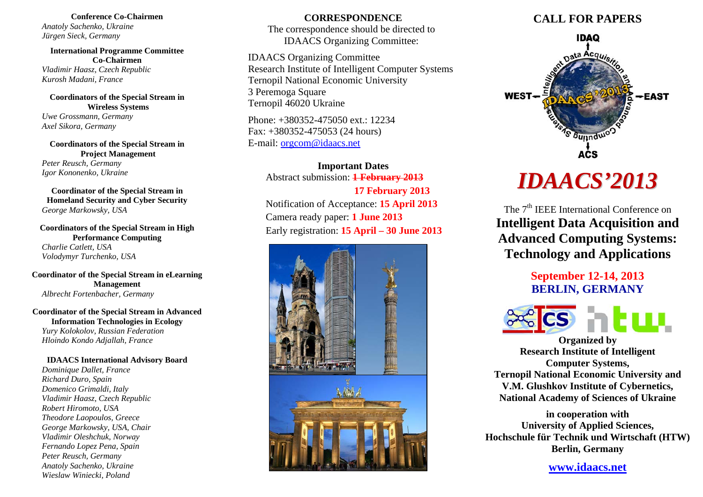**Conference Co-Chairmen** *Anatoly Sachenko, Ukraine Jürgen Sieck, Germany* 

**International Programme Committee Co-Chairmen** *Vladimir Haasz, Czech Republic Kurosh Madani, France* 

**Coordinators of the Special Stream in Wireless Systems** 

*Uwe Grossmann, Germany Axel Sikora, Germany* 

**Coordinators of the Special Stream in Project Management**  *Peter Reusch, Germany Igor Kononenko, Ukraine* 

**Coordinator of the Special Stream in Homeland Security and Cyber Security**  *George Markowsky, USA* 

**Coordinators of the Special Stream in High Performance Computing**  *Charlie Catlett, USA Volodymyr Turchenko, USA* 

**Coordinator of the Special Stream in eLearning Management**  *Albrecht Fortenbacher, Germany* 

**Coordinator of the Special Stream in Advanced Information Technologies in Ecology**  *Yury Kolokolov, Russian Federation* 

*Hloindo Kondo Adjallah, France* 

**IDAACS International Advisory Board**  *Dominique Dallet, France Richard Duro, Spain Domenico Grimaldi, Italy Vladimir Haasz, Czech Republic Robert Hiromoto, USA Theodore Laopoulos, Greece George Markowsky, USA, Chair Vladimir Oleshchuk, Norway Fernando Lopez Pena, Spain Peter Reusch, Germany Anatoly Sachenko, Ukraine Wieslaw Winiecki, Poland* 

# **CORRESPONDENCE**

The correspondence should be directed to IDAACS Organizing Committee:

IDAACS Organizing Committee Research Institute of Intelligent Computer Systems Ternopil National Economic University 3 Peremoga Square Ternopil 46020 Ukraine

Phone: +380352-475050 ext.: 12234 Fax: +380352-475053 (24 hours) E-mail: orgcom@idaacs.net

> **Important Dates**  Abstract submission: **1 February 2013 17 February 2013** Notification of Acceptance: **15 April 2013** Camera ready paper: **1 June 2013** Early registration: **15 April – 30 June 2013**



# **CALL FOR PAPERS**



# *IDAACS'2013*

The 7<sup>th</sup> IEEE International Conference on **Intelligent Data Acquisition and Advanced Computing Systems: Technology and Applications** 

> **September 12-14, 2013 BERLIN, GERMANY**



**Organized by Research Institute of Intelligent Computer Systems, Ternopil National Economic University and V.M. Glushkov Institute of Cybernetics, National Academy of Sciences of Ukraine** 

**in cooperation with University of Applied Sciences, Hochschule für Technik und Wirtschaft (HTW) Berlin, Germany** 

**www.idaacs.net**